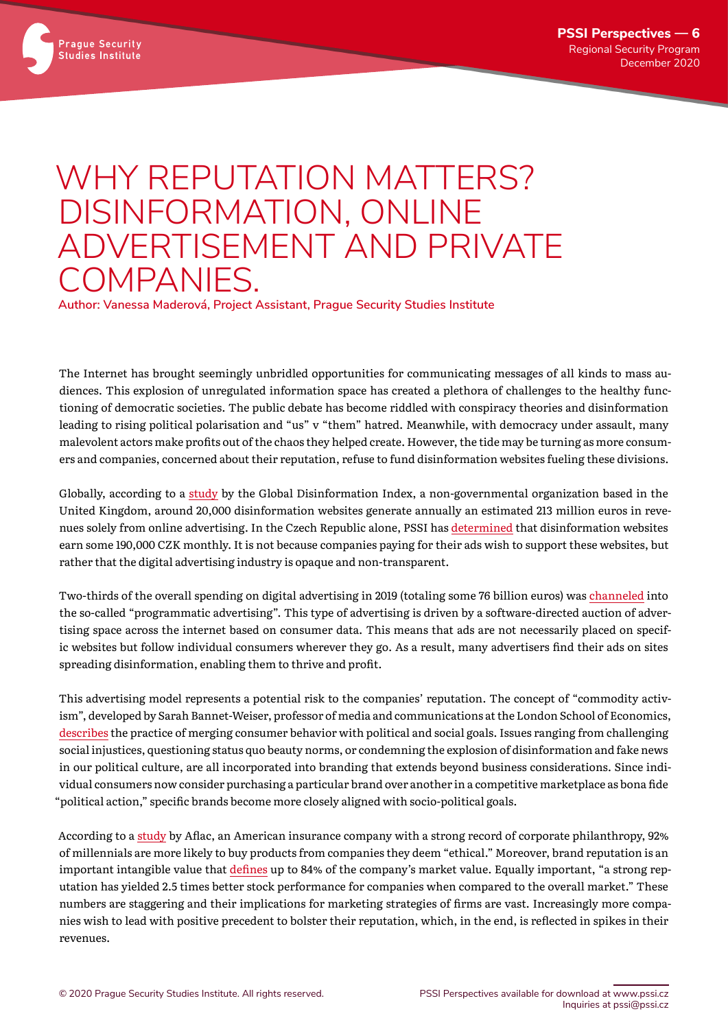

## WHY REPUTATION MATTERS? DISINFORMATION, ONLINE ADVERTISEMENT AND PRIVATE COMPANIES.

**Author: Vanessa Maderová, Project Assistant, Prague Security Studies Institute**

The Internet has brought seemingly unbridled opportunities for communicating messages of all kinds to mass audiences. This explosion of unregulated information space has created a plethora of challenges to the healthy functioning of democratic societies. The public debate has become riddled with conspiracy theories and disinformation leading to rising political polarisation and "us" v "them" hatred. Meanwhile, with democracy under assault, many malevolent actors make profits out of the chaos they helped create. However, the tide may be turning as more consumers and companies, concerned about their reputation, refuse to fund disinformation websites fueling these divisions.

Globally, according to a [study](https://disinformationindex.org) by the Global Disinformation Index, a non-governmental organization based in the United Kingdom, around 20,000 disinformation websites generate annually an estimated 213 million euros in revenues solely from online advertising. In the Czech Republic alone, PSSI has [determined](https://www.pssi.cz/publications/30-dezinformace-jako-byznys-perspektivy-stakeholderu-a-cesty-k-reseni) that disinformation websites earn some 190,000 CZK monthly. It is not because companies paying for their ads wish to support these websites, but rather that the digital advertising industry is opaque and non-transparent.

Two-thirds of the overall spending on digital advertising in 2019 (totaling some 76 billion euros) was [channeled](https://www.dw.com/en/disinformation-sites-generate-over-200-million-study/a-50537297) into the so-called "programmatic advertising". This type of advertising is driven by a software-directed auction of advertising space across the internet based on consumer data. This means that ads are not necessarily placed on specific websites but follow individual consumers wherever they go. As a result, many advertisers find their ads on sites spreading disinformation, enabling them to thrive and profit.

This advertising model represents a potential risk to the companies' reputation. The concept of "commodity activism", developed by Sarah Bannet-Weiser, professor of media and communications at the London School of Economics, [describes](https://www.vox.com/first-person/2018/9/7/17831334/nike-colin-kaepernick-ad) the practice of merging consumer behavior with political and social goals. Issues ranging from challenging social injustices, questioning status quo beauty norms, or condemning the explosion of disinformation and fake news in our political culture, are all incorporated into branding that extends beyond business considerations. Since individual consumers now consider purchasing a particular brand over another in a competitive marketplace as bona fide "political action," specific brands become more closely aligned with socio-political goals.

According to a [study](https://www.wordstream.com/blog/ws/2017/09/20/ethical-marketing) by Aflac, an American insurance company with a strong record of corporate philanthropy, 92% of millennials are more likely to buy products from companies they deem "ethical." Moreover, brand reputation is an important intangible value that [defines](https://www.reptrak.com/blog/what-companies-can-learn-from-facebooks-latest-reputation-challenge/) up to 84% of the company's market value. Equally important, "a strong reputation has yielded 2.5 times better stock performance for companies when compared to the overall market." These numbers are staggering and their implications for marketing strategies of firms are vast. Increasingly more companies wish to lead with positive precedent to bolster their reputation, which, in the end, is reflected in spikes in their revenues.